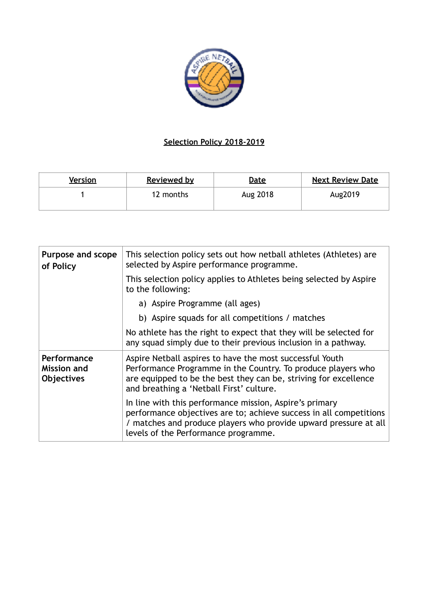

## **Selection Policy 2018-2019**

| Version | <b>Reviewed by</b> | <u>Date</u> | <b>Next Review Date</b> |
|---------|--------------------|-------------|-------------------------|
|         | 12 months          | Aug 2018    | Aug2019                 |

| Purpose and scope<br>of Policy                  | This selection policy sets out how netball athletes (Athletes) are<br>selected by Aspire performance programme.                                                                                                                           |
|-------------------------------------------------|-------------------------------------------------------------------------------------------------------------------------------------------------------------------------------------------------------------------------------------------|
|                                                 | This selection policy applies to Athletes being selected by Aspire<br>to the following:                                                                                                                                                   |
|                                                 | a) Aspire Programme (all ages)                                                                                                                                                                                                            |
|                                                 | b) Aspire squads for all competitions / matches                                                                                                                                                                                           |
|                                                 | No athlete has the right to expect that they will be selected for<br>any squad simply due to their previous inclusion in a pathway.                                                                                                       |
| Performance<br><b>Mission and</b><br>Objectives | Aspire Netball aspires to have the most successful Youth<br>Performance Programme in the Country. To produce players who<br>are equipped to be the best they can be, striving for excellence<br>and breathing a 'Netball First' culture.  |
|                                                 | In line with this performance mission, Aspire's primary<br>performance objectives are to; achieve success in all competitions<br>/ matches and produce players who provide upward pressure at all<br>levels of the Performance programme. |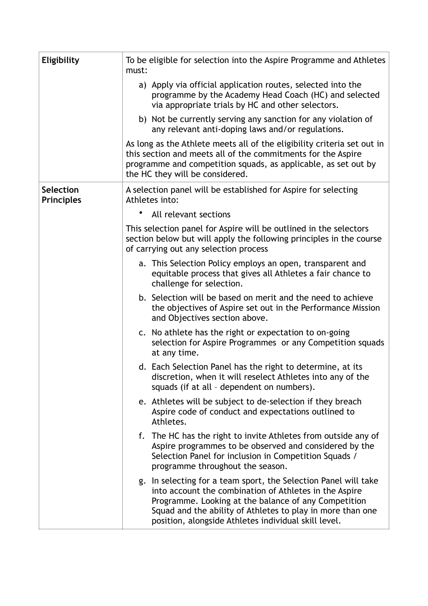| Eligibility                           | To be eligible for selection into the Aspire Programme and Athletes<br>must:                                                                                                                                                                                                                            |
|---------------------------------------|---------------------------------------------------------------------------------------------------------------------------------------------------------------------------------------------------------------------------------------------------------------------------------------------------------|
|                                       | a) Apply via official application routes, selected into the<br>programme by the Academy Head Coach (HC) and selected<br>via appropriate trials by HC and other selectors.                                                                                                                               |
|                                       | b) Not be currently serving any sanction for any violation of<br>any relevant anti-doping laws and/or regulations.                                                                                                                                                                                      |
|                                       | As long as the Athlete meets all of the eligibility criteria set out in<br>this section and meets all of the commitments for the Aspire<br>programme and competition squads, as applicable, as set out by<br>the HC they will be considered.                                                            |
| <b>Selection</b><br><b>Principles</b> | A selection panel will be established for Aspire for selecting<br>Athletes into:                                                                                                                                                                                                                        |
|                                       | All relevant sections                                                                                                                                                                                                                                                                                   |
|                                       | This selection panel for Aspire will be outlined in the selectors<br>section below but will apply the following principles in the course<br>of carrying out any selection process                                                                                                                       |
|                                       | a. This Selection Policy employs an open, transparent and<br>equitable process that gives all Athletes a fair chance to<br>challenge for selection.                                                                                                                                                     |
|                                       | b. Selection will be based on merit and the need to achieve<br>the objectives of Aspire set out in the Performance Mission<br>and Objectives section above.                                                                                                                                             |
|                                       | c. No athlete has the right or expectation to on-going<br>selection for Aspire Programmes or any Competition squads<br>at any time.                                                                                                                                                                     |
|                                       | d. Each Selection Panel has the right to determine, at its<br>discretion, when it will reselect Athletes into any of the<br>squads (if at all - dependent on numbers).                                                                                                                                  |
|                                       | e. Athletes will be subject to de-selection if they breach<br>Aspire code of conduct and expectations outlined to<br>Athletes.                                                                                                                                                                          |
|                                       | f. The HC has the right to invite Athletes from outside any of<br>Aspire programmes to be observed and considered by the<br>Selection Panel for inclusion in Competition Squads /<br>programme throughout the season.                                                                                   |
|                                       | g. In selecting for a team sport, the Selection Panel will take<br>into account the combination of Athletes in the Aspire<br>Programme. Looking at the balance of any Competition<br>Squad and the ability of Athletes to play in more than one<br>position, alongside Athletes individual skill level. |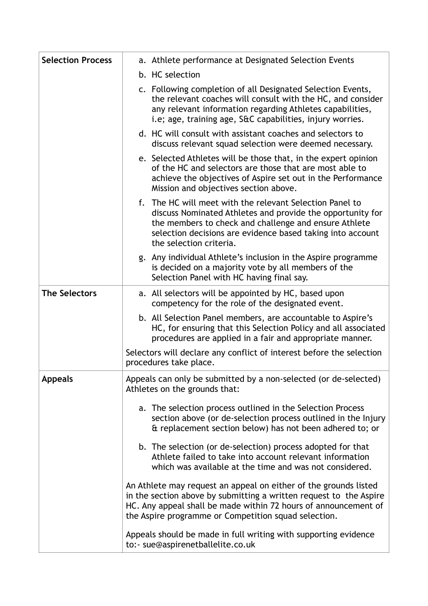| <b>Selection Process</b> | a. Athlete performance at Designated Selection Events                                                                                                                                                                                                                    |
|--------------------------|--------------------------------------------------------------------------------------------------------------------------------------------------------------------------------------------------------------------------------------------------------------------------|
|                          | b. HC selection                                                                                                                                                                                                                                                          |
|                          | c. Following completion of all Designated Selection Events,<br>the relevant coaches will consult with the HC, and consider<br>any relevant information regarding Athletes capabilities,<br>i.e; age, training age, S&C capabilities, injury worries.                     |
|                          | d. HC will consult with assistant coaches and selectors to<br>discuss relevant squad selection were deemed necessary.                                                                                                                                                    |
|                          | e. Selected Athletes will be those that, in the expert opinion<br>of the HC and selectors are those that are most able to<br>achieve the objectives of Aspire set out in the Performance<br>Mission and objectives section above.                                        |
|                          | f. The HC will meet with the relevant Selection Panel to<br>discuss Nominated Athletes and provide the opportunity for<br>the members to check and challenge and ensure Athlete<br>selection decisions are evidence based taking into account<br>the selection criteria. |
|                          | g. Any individual Athlete's inclusion in the Aspire programme<br>is decided on a majority vote by all members of the<br>Selection Panel with HC having final say.                                                                                                        |
| <b>The Selectors</b>     | a. All selectors will be appointed by HC, based upon<br>competency for the role of the designated event.                                                                                                                                                                 |
|                          | b. All Selection Panel members, are accountable to Aspire's<br>HC, for ensuring that this Selection Policy and all associated<br>procedures are applied in a fair and appropriate manner.                                                                                |
|                          | Selectors will declare any conflict of interest before the selection<br>procedures take place.                                                                                                                                                                           |
| <b>Appeals</b>           | Appeals can only be submitted by a non-selected (or de-selected)<br>Athletes on the grounds that:                                                                                                                                                                        |
|                          | a. The selection process outlined in the Selection Process<br>section above (or de-selection process outlined in the Injury<br>& replacement section below) has not been adhered to; or                                                                                  |
|                          | b. The selection (or de-selection) process adopted for that<br>Athlete failed to take into account relevant information<br>which was available at the time and was not considered.                                                                                       |
|                          | An Athlete may request an appeal on either of the grounds listed<br>in the section above by submitting a written request to the Aspire<br>HC. Any appeal shall be made within 72 hours of announcement of<br>the Aspire programme or Competition squad selection.        |
|                          | Appeals should be made in full writing with supporting evidence<br>to:- sue@aspirenetballelite.co.uk                                                                                                                                                                     |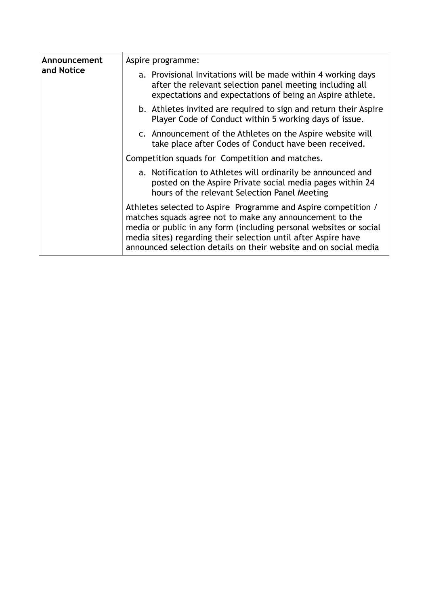| Announcement<br>and Notice | Aspire programme:                                                                                                                                                                                                                                                                                                                      |
|----------------------------|----------------------------------------------------------------------------------------------------------------------------------------------------------------------------------------------------------------------------------------------------------------------------------------------------------------------------------------|
|                            | a. Provisional Invitations will be made within 4 working days<br>after the relevant selection panel meeting including all<br>expectations and expectations of being an Aspire athlete.                                                                                                                                                 |
|                            | b. Athletes invited are required to sign and return their Aspire<br>Player Code of Conduct within 5 working days of issue.                                                                                                                                                                                                             |
|                            | c. Announcement of the Athletes on the Aspire website will<br>take place after Codes of Conduct have been received.                                                                                                                                                                                                                    |
|                            | Competition squads for Competition and matches.                                                                                                                                                                                                                                                                                        |
|                            | a. Notification to Athletes will ordinarily be announced and<br>posted on the Aspire Private social media pages within 24<br>hours of the relevant Selection Panel Meeting                                                                                                                                                             |
|                            | Athletes selected to Aspire Programme and Aspire competition /<br>matches squads agree not to make any announcement to the<br>media or public in any form (including personal websites or social<br>media sites) regarding their selection until after Aspire have<br>announced selection details on their website and on social media |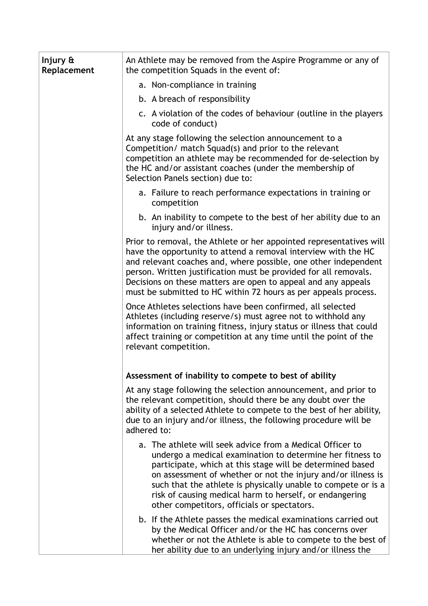| Injury $\mathbf{\hat{\alpha}}$<br>Replacement | An Athlete may be removed from the Aspire Programme or any of<br>the competition Squads in the event of:                                                                                                                                                                                                                                                                                                                       |
|-----------------------------------------------|--------------------------------------------------------------------------------------------------------------------------------------------------------------------------------------------------------------------------------------------------------------------------------------------------------------------------------------------------------------------------------------------------------------------------------|
|                                               | a. Non-compliance in training                                                                                                                                                                                                                                                                                                                                                                                                  |
|                                               | b. A breach of responsibility                                                                                                                                                                                                                                                                                                                                                                                                  |
|                                               | c. A violation of the codes of behaviour (outline in the players<br>code of conduct)                                                                                                                                                                                                                                                                                                                                           |
|                                               | At any stage following the selection announcement to a<br>Competition/ match Squad(s) and prior to the relevant<br>competition an athlete may be recommended for de-selection by<br>the HC and/or assistant coaches (under the membership of<br>Selection Panels section) due to:                                                                                                                                              |
|                                               | a. Failure to reach performance expectations in training or<br>competition                                                                                                                                                                                                                                                                                                                                                     |
|                                               | b. An inability to compete to the best of her ability due to an<br>injury and/or illness.                                                                                                                                                                                                                                                                                                                                      |
|                                               | Prior to removal, the Athlete or her appointed representatives will<br>have the opportunity to attend a removal interview with the HC<br>and relevant coaches and, where possible, one other independent<br>person. Written justification must be provided for all removals.<br>Decisions on these matters are open to appeal and any appeals<br>must be submitted to HC within 72 hours as per appeals process.               |
|                                               | Once Athletes selections have been confirmed, all selected<br>Athletes (including reserve/s) must agree not to withhold any<br>information on training fitness, injury status or illness that could<br>affect training or competition at any time until the point of the<br>relevant competition.                                                                                                                              |
|                                               | Assessment of inability to compete to best of ability                                                                                                                                                                                                                                                                                                                                                                          |
|                                               | At any stage following the selection announcement, and prior to<br>the relevant competition, should there be any doubt over the<br>ability of a selected Athlete to compete to the best of her ability,<br>due to an injury and/or illness, the following procedure will be<br>adhered to:                                                                                                                                     |
|                                               | a. The athlete will seek advice from a Medical Officer to<br>undergo a medical examination to determine her fitness to<br>participate, which at this stage will be determined based<br>on assessment of whether or not the injury and/or illness is<br>such that the athlete is physically unable to compete or is a<br>risk of causing medical harm to herself, or endangering<br>other competitors, officials or spectators. |
|                                               | b. If the Athlete passes the medical examinations carried out<br>by the Medical Officer and/or the HC has concerns over<br>whether or not the Athlete is able to compete to the best of<br>her ability due to an underlying injury and/or illness the                                                                                                                                                                          |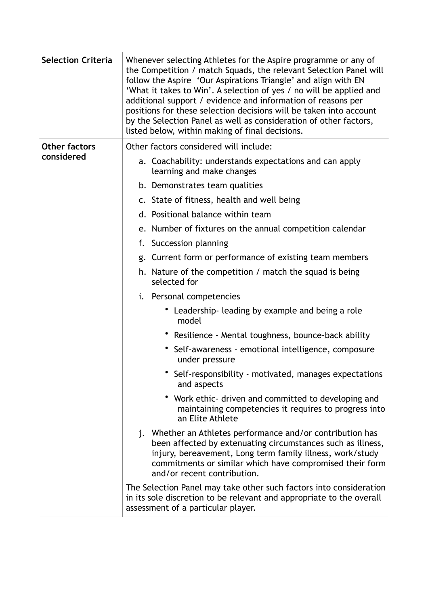| <b>Selection Criteria</b> | Whenever selecting Athletes for the Aspire programme or any of<br>the Competition / match Squads, the relevant Selection Panel will<br>follow the Aspire 'Our Aspirations Triangle' and align with EN<br>'What it takes to Win'. A selection of yes / no will be applied and<br>additional support / evidence and information of reasons per<br>positions for these selection decisions will be taken into account<br>by the Selection Panel as well as consideration of other factors,<br>listed below, within making of final decisions. |
|---------------------------|--------------------------------------------------------------------------------------------------------------------------------------------------------------------------------------------------------------------------------------------------------------------------------------------------------------------------------------------------------------------------------------------------------------------------------------------------------------------------------------------------------------------------------------------|
| <b>Other factors</b>      | Other factors considered will include:                                                                                                                                                                                                                                                                                                                                                                                                                                                                                                     |
| considered                | a. Coachability: understands expectations and can apply<br>learning and make changes                                                                                                                                                                                                                                                                                                                                                                                                                                                       |
|                           | b. Demonstrates team qualities                                                                                                                                                                                                                                                                                                                                                                                                                                                                                                             |
|                           | c. State of fitness, health and well being                                                                                                                                                                                                                                                                                                                                                                                                                                                                                                 |
|                           | d. Positional balance within team                                                                                                                                                                                                                                                                                                                                                                                                                                                                                                          |
|                           | e. Number of fixtures on the annual competition calendar                                                                                                                                                                                                                                                                                                                                                                                                                                                                                   |
|                           | f. Succession planning                                                                                                                                                                                                                                                                                                                                                                                                                                                                                                                     |
|                           | g. Current form or performance of existing team members                                                                                                                                                                                                                                                                                                                                                                                                                                                                                    |
|                           | h. Nature of the competition / match the squad is being<br>selected for                                                                                                                                                                                                                                                                                                                                                                                                                                                                    |
|                           | i. Personal competencies                                                                                                                                                                                                                                                                                                                                                                                                                                                                                                                   |
|                           | • Leadership-leading by example and being a role<br>model                                                                                                                                                                                                                                                                                                                                                                                                                                                                                  |
|                           | • Resilience - Mental toughness, bounce-back ability                                                                                                                                                                                                                                                                                                                                                                                                                                                                                       |
|                           | • Self-awareness - emotional intelligence, composure<br>under pressure                                                                                                                                                                                                                                                                                                                                                                                                                                                                     |
|                           | Self-responsibility - motivated, manages expectations<br>and aspects                                                                                                                                                                                                                                                                                                                                                                                                                                                                       |
|                           | • Work ethic- driven and committed to developing and<br>maintaining competencies it requires to progress into<br>an Elite Athlete                                                                                                                                                                                                                                                                                                                                                                                                          |
|                           | j. Whether an Athletes performance and/or contribution has<br>been affected by extenuating circumstances such as illness,<br>injury, bereavement, Long term family illness, work/study<br>commitments or similar which have compromised their form<br>and/or recent contribution.                                                                                                                                                                                                                                                          |
|                           | The Selection Panel may take other such factors into consideration<br>in its sole discretion to be relevant and appropriate to the overall<br>assessment of a particular player.                                                                                                                                                                                                                                                                                                                                                           |